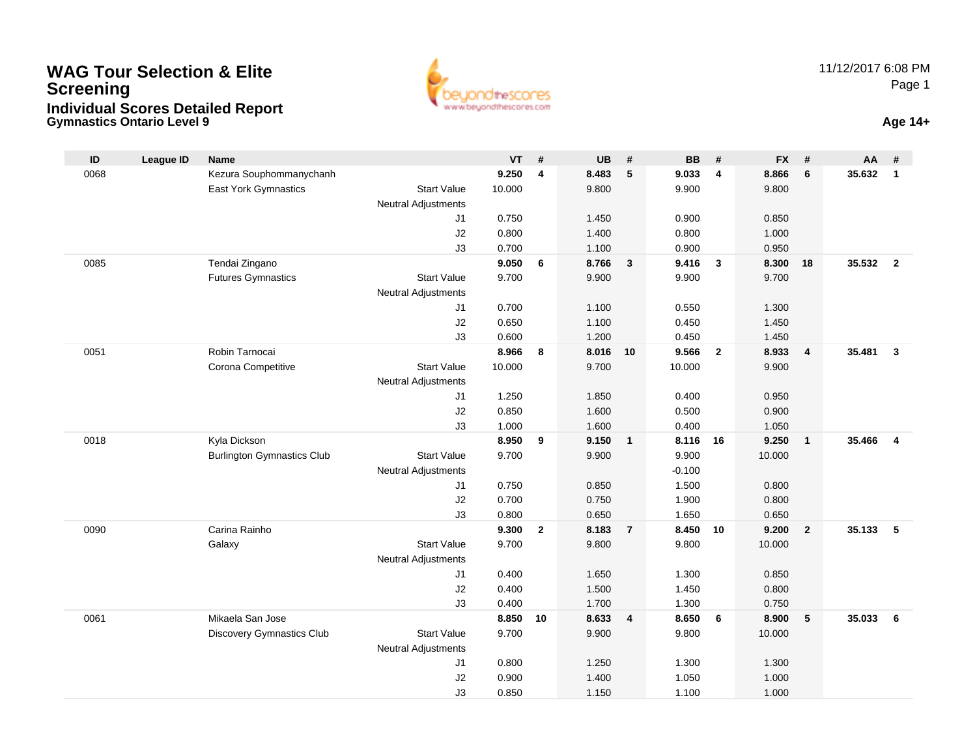## **Gymnastics Ontario Level 9 Age 14+WAG Tour Selection & EliteScreeningIndividual Scores Detailed Report**



| $\mathsf{ID}$ | <b>League ID</b> | Name                              |                            | VT             | #                       | UB             | #                       | <b>BB</b>      | #              | <b>FX</b>      | #              | AA     | #              |
|---------------|------------------|-----------------------------------|----------------------------|----------------|-------------------------|----------------|-------------------------|----------------|----------------|----------------|----------------|--------|----------------|
| 0068          |                  | Kezura Souphommanychanh           |                            | 9.250          | $\overline{\mathbf{4}}$ | 8.483          | 5                       | 9.033          | 4              | 8.866          | 6              | 35.632 | $\mathbf{1}$   |
|               |                  | East York Gymnastics              | <b>Start Value</b>         | 10.000         |                         | 9.800          |                         | 9.900          |                | 9.800          |                |        |                |
|               |                  |                                   | <b>Neutral Adjustments</b> |                |                         |                |                         |                |                |                |                |        |                |
|               |                  |                                   | J1                         | 0.750          |                         | 1.450          |                         | 0.900          |                | 0.850          |                |        |                |
|               |                  |                                   | J2                         | 0.800          |                         | 1.400          |                         | 0.800          |                | 1.000          |                |        |                |
|               |                  |                                   | J3                         | 0.700          |                         | 1.100          |                         | 0.900          |                | 0.950          |                |        |                |
| 0085          |                  | Tendai Zingano                    |                            | 9.050          | 6                       | 8.766          | $\mathbf{3}$            | 9.416          | $\mathbf{3}$   | 8.300          | 18             | 35.532 | $\overline{2}$ |
|               |                  | <b>Futures Gymnastics</b>         | <b>Start Value</b>         | 9.700          |                         | 9.900          |                         | 9.900          |                | 9.700          |                |        |                |
|               |                  |                                   | <b>Neutral Adjustments</b> |                |                         |                |                         |                |                |                |                |        |                |
|               |                  |                                   | J1                         | 0.700          |                         | 1.100          |                         | 0.550          |                | 1.300          |                |        |                |
|               |                  |                                   | J2                         | 0.650          |                         | 1.100          |                         | 0.450          |                | 1.450          |                |        |                |
| 0051          |                  | Robin Tarnocai                    | J3                         | 0.600<br>8.966 |                         | 1.200          |                         | 0.450<br>9.566 |                | 1.450          |                | 35,481 | $\overline{3}$ |
|               |                  | Corona Competitive                | <b>Start Value</b>         | 10.000         | 8                       | 8.016<br>9.700 | 10                      | 10.000         | $\overline{2}$ | 8.933<br>9.900 | $\overline{4}$ |        |                |
|               |                  |                                   | <b>Neutral Adjustments</b> |                |                         |                |                         |                |                |                |                |        |                |
|               |                  |                                   | J1                         | 1.250          |                         | 1.850          |                         | 0.400          |                | 0.950          |                |        |                |
|               |                  |                                   | J2                         | 0.850          |                         | 1.600          |                         | 0.500          |                | 0.900          |                |        |                |
|               |                  |                                   | J3                         | 1.000          |                         | 1.600          |                         | 0.400          |                | 1.050          |                |        |                |
| 0018          |                  | Kyla Dickson                      |                            | 8.950          | 9                       | 9.150          | $\mathbf{1}$            | 8.116          | - 16           | 9.250          | $\overline{1}$ | 35.466 | $\overline{4}$ |
|               |                  | <b>Burlington Gymnastics Club</b> | <b>Start Value</b>         | 9.700          |                         | 9.900          |                         | 9.900          |                | 10.000         |                |        |                |
|               |                  |                                   | <b>Neutral Adjustments</b> |                |                         |                |                         | $-0.100$       |                |                |                |        |                |
|               |                  |                                   | J1                         | 0.750          |                         | 0.850          |                         | 1.500          |                | 0.800          |                |        |                |
|               |                  |                                   | J2                         | 0.700          |                         | 0.750          |                         | 1.900          |                | 0.800          |                |        |                |
|               |                  |                                   | J3                         | 0.800          |                         | 0.650          |                         | 1.650          |                | 0.650          |                |        |                |
| 0090          |                  | Carina Rainho                     |                            | 9.300          | $\overline{2}$          | 8.183          | $\overline{7}$          | 8.450          | 10             | 9.200          | $\overline{2}$ | 35.133 | 5              |
|               |                  | Galaxy                            | <b>Start Value</b>         | 9.700          |                         | 9.800          |                         | 9.800          |                | 10.000         |                |        |                |
|               |                  |                                   | <b>Neutral Adjustments</b> |                |                         |                |                         |                |                |                |                |        |                |
|               |                  |                                   | J1                         | 0.400          |                         | 1.650          |                         | 1.300          |                | 0.850          |                |        |                |
|               |                  |                                   | J2                         | 0.400          |                         | 1.500          |                         | 1.450          |                | 0.800          |                |        |                |
|               |                  |                                   | J3                         | 0.400          |                         | 1.700          |                         | 1.300          |                | 0.750          |                |        |                |
| 0061          |                  | Mikaela San Jose                  |                            | 8.850          | 10                      | 8.633          | $\overline{\mathbf{4}}$ | 8.650          | 6              | 8.900          | 5              | 35.033 | 6              |
|               |                  | Discovery Gymnastics Club         | <b>Start Value</b>         | 9.700          |                         | 9.900          |                         | 9.800          |                | 10.000         |                |        |                |
|               |                  |                                   | <b>Neutral Adjustments</b> |                |                         |                |                         |                |                |                |                |        |                |
|               |                  |                                   | J <sub>1</sub>             | 0.800          |                         | 1.250          |                         | 1.300          |                | 1.300          |                |        |                |
|               |                  |                                   | J2                         | 0.900          |                         | 1.400          |                         | 1.050          |                | 1.000          |                |        |                |
|               |                  |                                   | J3                         | 0.850          |                         | 1.150          |                         | 1.100          |                | 1.000          |                |        |                |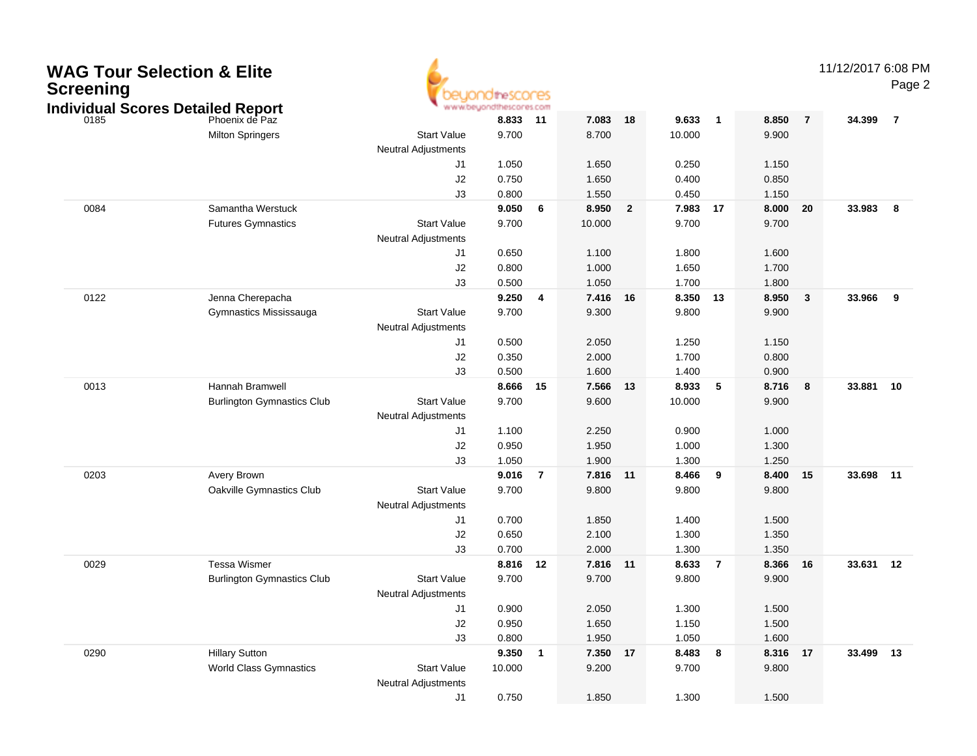| <b>Screening</b> | <b>WAG Tour Selection &amp; Elite</b><br><b>Individual Scores Detailed Report</b> |                            | ww.beyondthescores.com |                          |          |                |        |                  |          |                | 11/12/2017 6:08 PM | Page 2         |
|------------------|-----------------------------------------------------------------------------------|----------------------------|------------------------|--------------------------|----------|----------------|--------|------------------|----------|----------------|--------------------|----------------|
| 0185             | Phoenix de Paz                                                                    |                            | 8.833                  | 11                       | 7.083    | 18             | 9.633  | $\overline{1}$   | 8.850    | $\overline{7}$ | 34.399             | $\overline{7}$ |
|                  | <b>Milton Springers</b>                                                           | <b>Start Value</b>         | 9.700                  |                          | 8.700    |                | 10.000 |                  | 9.900    |                |                    |                |
|                  |                                                                                   | <b>Neutral Adjustments</b> |                        |                          |          |                |        |                  |          |                |                    |                |
|                  |                                                                                   | J1                         | 1.050                  |                          | 1.650    |                | 0.250  |                  | 1.150    |                |                    |                |
|                  |                                                                                   | J2                         | 0.750                  |                          | 1.650    |                | 0.400  |                  | 0.850    |                |                    |                |
|                  |                                                                                   | J3                         | 0.800                  |                          | 1.550    |                | 0.450  |                  | 1.150    |                |                    |                |
| 0084             | Samantha Werstuck                                                                 |                            | 9.050                  | 6                        | 8.950    | $\overline{2}$ | 7.983  | 17               | 8.000    | 20             | 33.983             | - 8            |
|                  | <b>Futures Gymnastics</b>                                                         | <b>Start Value</b>         | 9.700                  |                          | 10.000   |                | 9.700  |                  | 9.700    |                |                    |                |
|                  |                                                                                   | <b>Neutral Adjustments</b> |                        |                          |          |                |        |                  |          |                |                    |                |
|                  |                                                                                   | J1                         | 0.650                  |                          | 1.100    |                | 1.800  |                  | 1.600    |                |                    |                |
|                  |                                                                                   | J2                         | 0.800                  |                          | 1.000    |                | 1.650  |                  | 1.700    |                |                    |                |
|                  |                                                                                   | J3                         | 0.500                  |                          | 1.050    |                | 1.700  |                  | 1.800    |                |                    |                |
| 0122             | Jenna Cherepacha                                                                  |                            | 9.250                  | 4                        | 7.416    | 16             | 8.350  | 13               | 8.950    | 3              | 33.966             | 9              |
|                  | Gymnastics Mississauga                                                            | <b>Start Value</b>         | 9.700                  |                          | 9.300    |                | 9.800  |                  | 9.900    |                |                    |                |
|                  |                                                                                   | <b>Neutral Adjustments</b> |                        |                          |          |                |        |                  |          |                |                    |                |
|                  |                                                                                   | J1                         | 0.500                  |                          | 2.050    |                | 1.250  |                  | 1.150    |                |                    |                |
|                  |                                                                                   | J2                         | 0.350                  |                          | 2.000    |                | 1.700  |                  | 0.800    |                |                    |                |
|                  |                                                                                   | J3                         | 0.500                  |                          | 1.600    |                | 1.400  |                  | 0.900    |                |                    |                |
| 0013             | Hannah Bramwell                                                                   |                            | 8.666                  | 15                       | 7.566    | 13             | 8.933  | 5                | 8.716    | 8              | 33.881             | 10             |
|                  | <b>Burlington Gymnastics Club</b>                                                 | <b>Start Value</b>         | 9.700                  |                          | 9.600    |                | 10.000 |                  | 9.900    |                |                    |                |
|                  |                                                                                   | <b>Neutral Adjustments</b> |                        |                          |          |                |        |                  |          |                |                    |                |
|                  |                                                                                   | J1                         | 1.100                  |                          | 2.250    |                | 0.900  |                  | 1.000    |                |                    |                |
|                  |                                                                                   | J <sub>2</sub>             | 0.950                  |                          | 1.950    |                | 1.000  |                  | 1.300    |                |                    |                |
|                  |                                                                                   | J3                         | 1.050                  |                          | 1.900    |                | 1.300  |                  | 1.250    |                |                    |                |
| 0203             | Avery Brown                                                                       |                            | 9.016                  | $\overline{7}$           | 7.816    | 11             | 8.466  | 9                | 8.400    | 15             | 33.698             | 11             |
|                  | Oakville Gymnastics Club                                                          | <b>Start Value</b>         | 9.700                  |                          | 9.800    |                | 9.800  |                  | 9.800    |                |                    |                |
|                  |                                                                                   | <b>Neutral Adjustments</b> |                        |                          |          |                |        |                  |          |                |                    |                |
|                  |                                                                                   | J1                         | 0.700                  |                          | 1.850    |                | 1.400  |                  | 1.500    |                |                    |                |
|                  |                                                                                   | J <sub>2</sub>             | 0.650                  |                          | 2.100    |                | 1.300  |                  | 1.350    |                |                    |                |
|                  |                                                                                   | J3                         | 0.700                  |                          | 2.000    |                | 1.300  |                  | 1.350    |                |                    |                |
| 0029             | <b>Tessa Wismer</b>                                                               |                            | 8.816                  | 12                       | 7.816    | 11             | 8.633  | - 7              | 8.366    | 16             | 33.631             | 12             |
|                  | <b>Burlington Gymnastics Club</b>                                                 | <b>Start Value</b>         | 9.700                  |                          | 9.700    |                | 9.800  |                  | 9.900    |                |                    |                |
|                  |                                                                                   | <b>Neutral Adjustments</b> |                        |                          |          |                |        |                  |          |                |                    |                |
|                  |                                                                                   | J1                         | 0.900                  |                          | 2.050    |                | 1.300  |                  | 1.500    |                |                    |                |
|                  |                                                                                   | J2                         | 0.950                  |                          | 1.650    |                | 1.150  |                  | 1.500    |                |                    |                |
|                  |                                                                                   | J3                         | 0.800                  |                          | 1.950    |                | 1.050  |                  | 1.600    |                |                    |                |
| 0290             | <b>Hillary Sutton</b>                                                             |                            | 9.350                  | $\overline{\phantom{a}}$ | 7.350 17 |                | 8.483  | $\boldsymbol{8}$ | 8.316 17 |                | 33.499 13          |                |
|                  | <b>World Class Gymnastics</b>                                                     | <b>Start Value</b>         | 10.000                 |                          | 9.200    |                | 9.700  |                  | 9.800    |                |                    |                |
|                  |                                                                                   | <b>Neutral Adjustments</b> |                        |                          |          |                |        |                  |          |                |                    |                |
|                  |                                                                                   | J1                         | 0.750                  |                          | 1.850    |                | 1.300  |                  | 1.500    |                |                    |                |
|                  |                                                                                   |                            |                        |                          |          |                |        |                  |          |                |                    |                |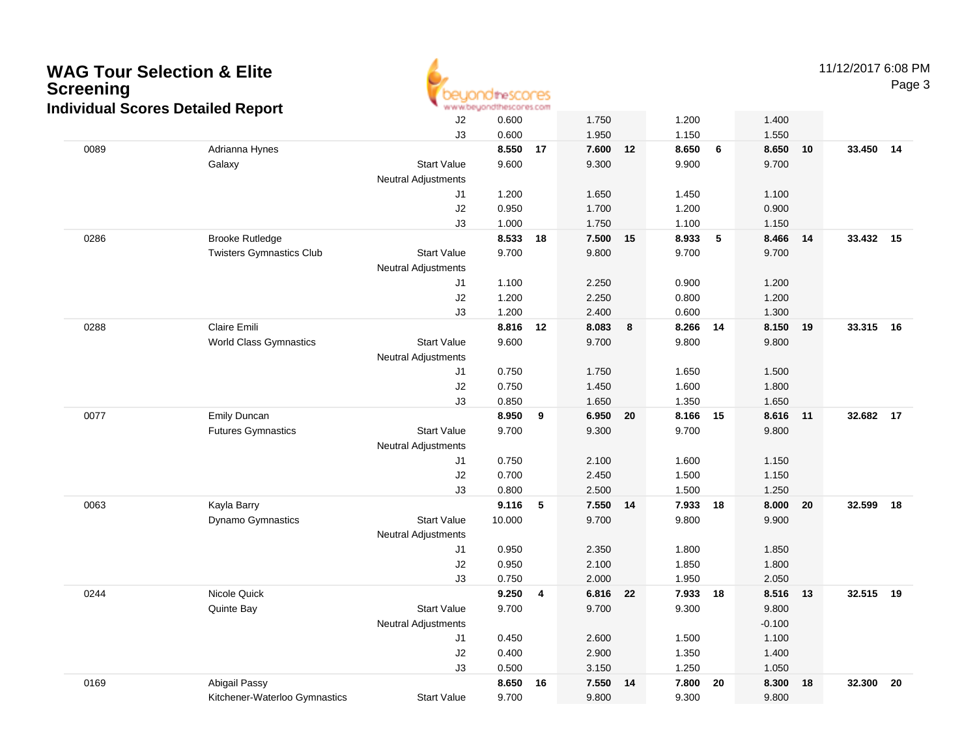## **WAG Tour Selection & Elite**11/12/2017 6:08 PM**Screening** Page 3dtheSCONES www.beyondthescores.com **Individual Scores Detailed Report**J2 0.600 1.750 1.200 1.400 J3 0.600 1.950 1.150 1.550 0089 Adrianna Hynes **8.550 <sup>17</sup> 7.600 <sup>12</sup> 8.650 <sup>6</sup> 8.650 <sup>10</sup> 33.450 <sup>14</sup>** Galaxy Start Value 9.600 9.300 9.900 9.700 Neutral Adjustments J1 1.200 1.650 1.450 1.100 J2 0.950 1.700 1.200 0.900 J3 1.000 1.750 1.100 1.150 0286 Brooke Rutledge **8.533 <sup>18</sup> 7.500 <sup>15</sup> 8.933 <sup>5</sup> 8.466 <sup>14</sup> 33.432 <sup>15</sup>** Twisters Gymnastics Club Start Value 9.700 9.800 9.700 9.700 Neutral Adjustments J1 1.100 2.250 0.900 1.200 J2 1.200 2.250 0.800 1.200 J3 1.200 2.400 0.600 1.300 0288 Claire Emili **8.816 <sup>12</sup> 8.083 <sup>8</sup> 8.266 <sup>14</sup> 8.150 <sup>19</sup> 33.315 <sup>16</sup>** World Class Gymnastics Start Value 9.600 9.700 9.800 9.800 Neutral Adjustments J1 0.750 1.750 1.650 1.500 J2 0.750 1.450 1.600 1.800 J3 0.850 1.650 1.350 1.650 0077 Emily Duncan **8.950 <sup>9</sup> 6.950 <sup>20</sup> 8.166 <sup>15</sup> 8.616 <sup>11</sup> 32.682 <sup>17</sup>** Futures Gymnastics Start Value 9.700 9.300 9.700 9.800 Neutral Adjustments J1 0.750 2.100 1.600 1.150 J2 0.700 2.450 1.500 1.150 J3 0.800 2.500 1.500 1.250 0063 Kayla Barry **9.116 <sup>5</sup> 7.550 <sup>14</sup> 7.933 <sup>18</sup> 8.000 <sup>20</sup> 32.599 <sup>18</sup>** Dynamo Gymnastics Start Value 10.000 9.700 9.800 9.900 Neutral Adjustments

|      |                               | <b>Neutral Adjustments</b> |          |          |          |          |           |
|------|-------------------------------|----------------------------|----------|----------|----------|----------|-----------|
|      |                               | J1                         | 0.950    | 2.350    | 1.800    | 1.850    |           |
|      |                               | J2                         | 0.950    | 2.100    | 1.850    | 1.800    |           |
|      |                               | J3                         | 0.750    | 2.000    | 1.950    | 2.050    |           |
| 0244 | Nicole Quick                  |                            | 9.250 4  | 6.816 22 | 7.933 18 | 8.516 13 | 32.515 19 |
|      | Quinte Bay                    | <b>Start Value</b>         | 9.700    | 9.700    | 9.300    | 9.800    |           |
|      |                               | <b>Neutral Adjustments</b> |          |          |          | $-0.100$ |           |
|      |                               | J <sub>1</sub>             | 0.450    | 2.600    | 1.500    | 1.100    |           |
|      |                               | J2                         | 0.400    | 2.900    | 1.350    | 1.400    |           |
|      |                               | J3                         | 0.500    | 3.150    | 1.250    | 1.050    |           |
| 0169 | Abigail Passy                 |                            | 8.650 16 | 7.550 14 | 7.800 20 | 8.300 18 | 32.300 20 |
|      | Kitchener-Waterloo Gymnastics | <b>Start Value</b>         | 9.700    | 9.800    | 9.300    | 9.800    |           |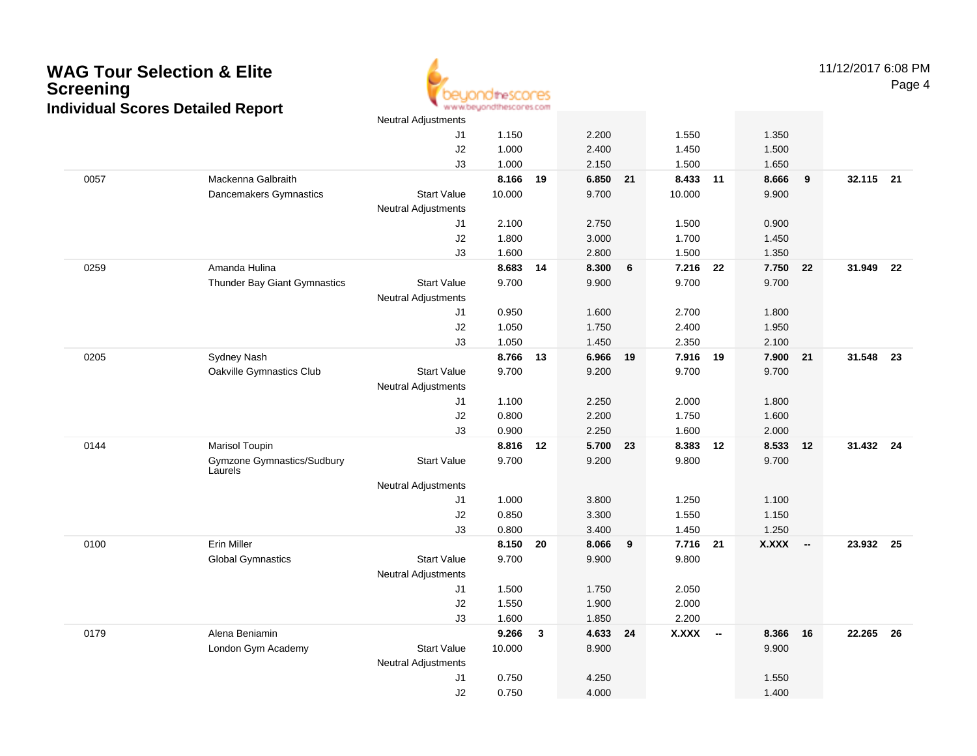## **WAG Tour Selection & Elite ScreeningIndividual Scores Detailed Report**



11/12/2017 6:08 PMPage 4

|      |                                       | <b>Neutral Adjustments</b> |        |    |          |    |              |        |              |        |           |    |
|------|---------------------------------------|----------------------------|--------|----|----------|----|--------------|--------|--------------|--------|-----------|----|
|      |                                       | J1                         | 1.150  |    | 2.200    |    | 1.550        |        | 1.350        |        |           |    |
|      |                                       | J2                         | 1.000  |    | 2.400    |    | 1.450        |        | 1.500        |        |           |    |
|      |                                       | J3                         | 1.000  |    | 2.150    |    | 1.500        |        | 1.650        |        |           |    |
| 0057 | Mackenna Galbraith                    |                            | 8.166  | 19 | 6.850 21 |    | 8.433 11     |        | 8.666        | 9      | 32.115 21 |    |
|      | Dancemakers Gymnastics                | <b>Start Value</b>         | 10.000 |    | 9.700    |    | 10.000       |        | 9.900        |        |           |    |
|      |                                       | Neutral Adjustments        |        |    |          |    |              |        |              |        |           |    |
|      |                                       | J1                         | 2.100  |    | 2.750    |    | 1.500        |        | 0.900        |        |           |    |
|      |                                       | J2                         | 1.800  |    | 3.000    |    | 1.700        |        | 1.450        |        |           |    |
|      |                                       | J3                         | 1.600  |    | 2.800    |    | 1.500        |        | 1.350        |        |           |    |
| 0259 | Amanda Hulina                         |                            | 8.683  | 14 | 8.300    | 6  | 7.216        | 22     | 7.750 22     |        | 31.949    | 22 |
|      | Thunder Bay Giant Gymnastics          | <b>Start Value</b>         | 9.700  |    | 9.900    |    | 9.700        |        | 9.700        |        |           |    |
|      |                                       | <b>Neutral Adjustments</b> |        |    |          |    |              |        |              |        |           |    |
|      |                                       | J1                         | 0.950  |    | 1.600    |    | 2.700        |        | 1.800        |        |           |    |
|      |                                       | J2                         | 1.050  |    | 1.750    |    | 2.400        |        | 1.950        |        |           |    |
|      |                                       | J3                         | 1.050  |    | 1.450    |    | 2.350        |        | 2.100        |        |           |    |
| 0205 | <b>Sydney Nash</b>                    |                            | 8.766  | 13 | 6.966    | 19 | 7.916 19     |        | 7.900 21     |        | 31.548    | 23 |
|      | Oakville Gymnastics Club              | <b>Start Value</b>         | 9.700  |    | 9.200    |    | 9.700        |        | 9.700        |        |           |    |
|      |                                       | <b>Neutral Adjustments</b> |        |    |          |    |              |        |              |        |           |    |
|      |                                       | J1                         | 1.100  |    | 2.250    |    | 2.000        |        | 1.800        |        |           |    |
|      |                                       | J2                         | 0.800  |    | 2.200    |    | 1.750        |        | 1.600        |        |           |    |
|      |                                       | J3                         | 0.900  |    | 2.250    |    | 1.600        |        | 2.000        |        |           |    |
| 0144 | Marisol Toupin                        |                            | 8.816  | 12 | 5.700    | 23 | 8.383        | 12     | 8.533        | 12     | 31.432 24 |    |
|      | Gymzone Gymnastics/Sudbury<br>Laurels | <b>Start Value</b>         | 9.700  |    | 9.200    |    | 9.800        |        | 9.700        |        |           |    |
|      |                                       | <b>Neutral Adjustments</b> |        |    |          |    |              |        |              |        |           |    |
|      |                                       | J1                         | 1.000  |    | 3.800    |    | 1.250        |        | 1.100        |        |           |    |
|      |                                       | J2                         | 0.850  |    | 3.300    |    | 1.550        |        | 1.150        |        |           |    |
|      |                                       | J3                         | 0.800  |    | 3.400    |    | 1.450        |        | 1.250        |        |           |    |
| 0100 | <b>Erin Miller</b>                    |                            | 8.150  | 20 | 8.066    | 9  | 7.716 21     |        | <b>X.XXX</b> | $\sim$ | 23.932 25 |    |
|      | <b>Global Gymnastics</b>              | <b>Start Value</b>         | 9.700  |    | 9.900    |    | 9.800        |        |              |        |           |    |
|      |                                       | <b>Neutral Adjustments</b> |        |    |          |    |              |        |              |        |           |    |
|      |                                       | J1                         | 1.500  |    | 1.750    |    | 2.050        |        |              |        |           |    |
|      |                                       | J2                         | 1.550  |    | 1.900    |    | 2.000        |        |              |        |           |    |
|      |                                       | J3                         | 1.600  |    | 1.850    |    | 2.200        |        |              |        |           |    |
| 0179 | Alena Beniamin                        |                            | 9.266  | 3  | 4.633    | 24 | <b>X.XXX</b> | $\sim$ | 8.366        | 16     | 22.265    | 26 |
|      | London Gym Academy                    | <b>Start Value</b>         | 10.000 |    | 8.900    |    |              |        | 9.900        |        |           |    |
|      |                                       | <b>Neutral Adjustments</b> |        |    |          |    |              |        |              |        |           |    |
|      |                                       | J <sub>1</sub>             | 0.750  |    | 4.250    |    |              |        | 1.550        |        |           |    |
|      |                                       | J2                         | 0.750  |    | 4.000    |    |              |        | 1.400        |        |           |    |